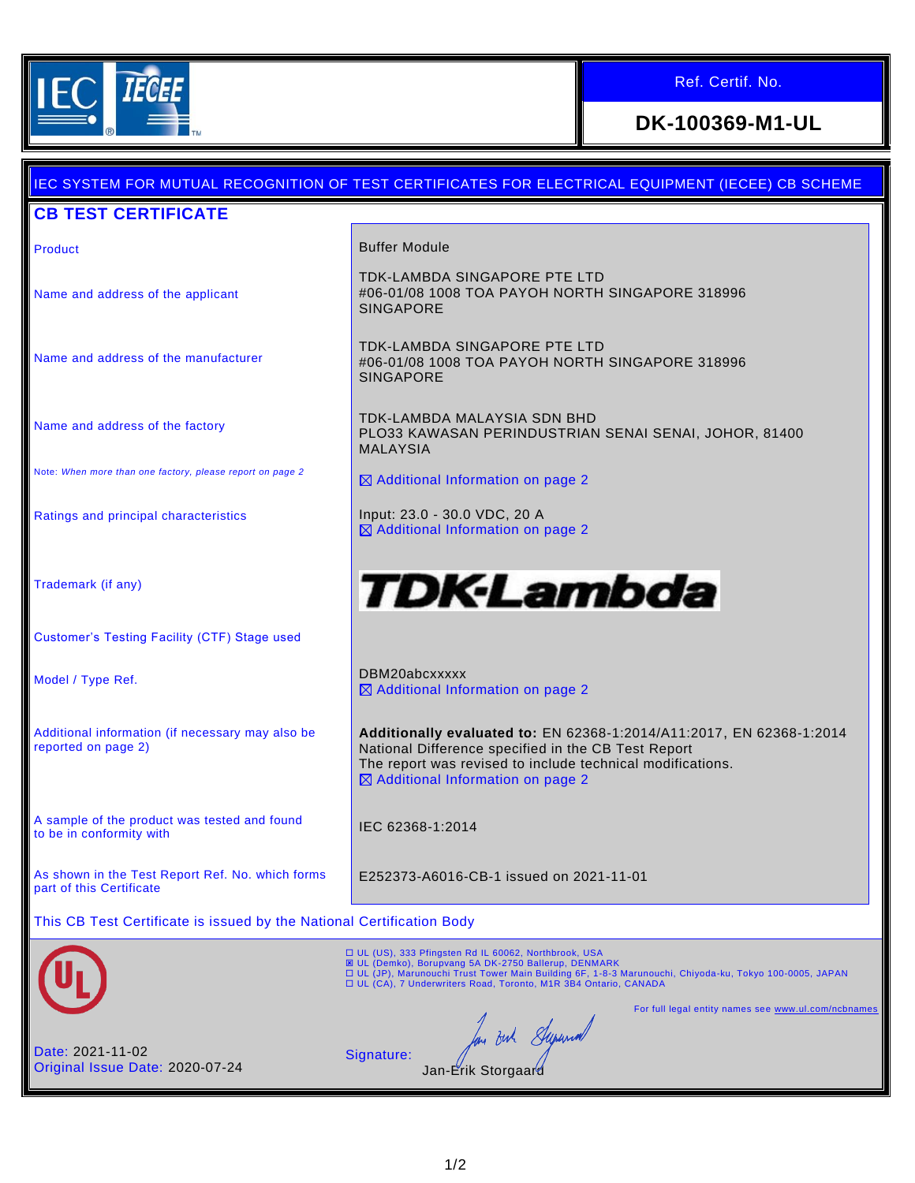

# Ref. Certif. No.

# **DK-100369-M1-UL**

# IEC SYSTEM FOR MUTUAL RECOGNITION OF TEST CERTIFICATES FOR ELECTRICAL EQUIPMENT (IECEE) CB SCHEME **CB TEST CERTIFICATE** Product **Buffer Module** TDK-LAMBDA SINGAPORE PTE LTD #06-01/08 1008 TOA PAYOH NORTH SINGAPORE 318996 Name and address of the applicant SINGAPORE TDK-LAMBDA SINGAPORE PTE LTD Name and address of the manufacturer #06-01/08 1008 TOA PAYOH NORTH SINGAPORE 318996 SINGAPORE TDK-LAMBDA MALAYSIA SDN BHD Name and address of the factory PLO33 KAWASAN PERINDUSTRIAN SENAI SENAI, JOHOR, 81400 MALAYSIA Note: *When more than one factory, please report on page 2*  $\boxtimes$  Additional Information on page 2 Ratings and principal characteristics **Input: 23.0 - 30.0 VDC, 20 A** Additional Information on page 2 **TDK-Lambda** Trademark (if any) Customer's Testing Facility (CTF) Stage used Model / Type Ref. 2008 2012 12:30 DBM20abcxxxxx ■ Additional Information on page 2 **Additionally evaluated to:** EN 62368-1:2014/A11:2017, EN 62368-1:2014 Additional information (if necessary may also be reported on page 2) National Difference specified in the CB Test Report The report was revised to include technical modifications.  $\boxtimes$  Additional Information on page 2 A sample of the product was tested and found A sample of the product was tested and found<br>to be in conformity with As shown in the Test Report Ref. No. which forms E252373-A6016-CB-1 issued on 2021-11-01 part of this Certificate This CB Test Certificate is issued by the National Certification Body □ UL (US), 333 Pfingsten Rd IL 60062, Northbrook, USA<br>図 UL (Demko), Borupvang 5A DK-2750 Ballerup, DENMARK<br>□ UL (JP), Marunouchi Trust Tower Main Building 6F, 1-8-3 Marunouchi, Chiyoda-ku, Tokyo 100-0005, JAPAN<br>□ UL (CA), For full legal entity names see www.ul.com/ncb In out Superior Date: 2021-11-02 Signature: Original Issue Date: 2020-07-24 Jan-Erik Storgaar